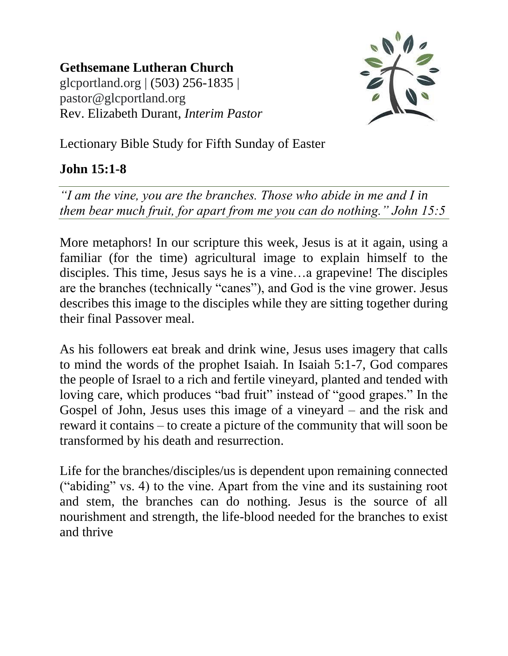**Gethsemane Lutheran Church** glcportland.org | (503) 256-1835 | pastor@glcportland.org Rev. Elizabeth Durant, *Interim Pastor*



Lectionary Bible Study for Fifth Sunday of Easter

## **John 15:1-8**

*"I am the vine, you are the branches. Those who abide in me and I in them bear much fruit, for apart from me you can do nothing." John 15:5*

More metaphors! In our scripture this week, Jesus is at it again, using a familiar (for the time) agricultural image to explain himself to the disciples. This time, Jesus says he is a vine…a grapevine! The disciples are the branches (technically "canes"), and God is the vine grower. Jesus describes this image to the disciples while they are sitting together during their final Passover meal.

As his followers eat break and drink wine, Jesus uses imagery that calls to mind the words of the prophet Isaiah. In Isaiah 5:1-7, God compares the people of Israel to a rich and fertile vineyard, planted and tended with loving care, which produces "bad fruit" instead of "good grapes." In the Gospel of John, Jesus uses this image of a vineyard – and the risk and reward it contains – to create a picture of the community that will soon be transformed by his death and resurrection.

Life for the branches/disciples/us is dependent upon remaining connected ("abiding" vs. 4) to the vine. Apart from the vine and its sustaining root and stem, the branches can do nothing. Jesus is the source of all nourishment and strength, the life-blood needed for the branches to exist and thrive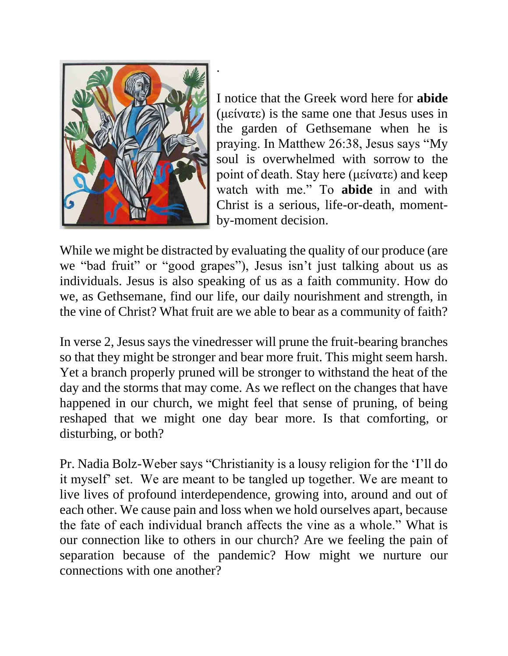

I notice that the Greek word here for **abide** (μείνατε) is the same one that Jesus uses in the garden of Gethsemane when he is praying. In Matthew 26:38, Jesus says "My soul is overwhelmed with sorrow to the point of death. Stay here (μείνατε) and keep watch with me." To **abide** in and with Christ is a serious, life-or-death, momentby-moment decision.

While we might be distracted by evaluating the quality of our produce (are we "bad fruit" or "good grapes"), Jesus isn't just talking about us as individuals. Jesus is also speaking of us as a faith community. How do we, as Gethsemane, find our life, our daily nourishment and strength, in the vine of Christ? What fruit are we able to bear as a community of faith?

.

In verse 2, Jesus says the vinedresser will prune the fruit-bearing branches so that they might be stronger and bear more fruit. This might seem harsh. Yet a branch properly pruned will be stronger to withstand the heat of the day and the storms that may come. As we reflect on the changes that have happened in our church, we might feel that sense of pruning, of being reshaped that we might one day bear more. Is that comforting, or disturbing, or both?

Pr. Nadia Bolz-Weber says "Christianity is a lousy religion for the 'I'll do it myself' set. We are meant to be tangled up together. We are meant to live lives of profound interdependence, growing into, around and out of each other. We cause pain and loss when we hold ourselves apart, because the fate of each individual branch affects the vine as a whole." What is our connection like to others in our church? Are we feeling the pain of separation because of the pandemic? How might we nurture our connections with one another?